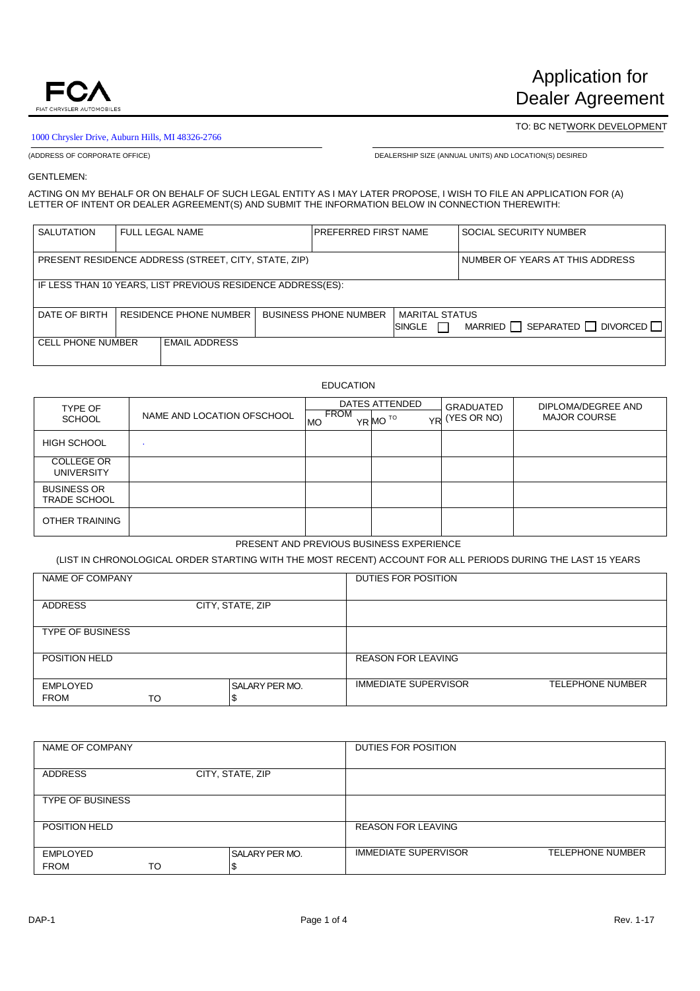

## 1000 Chrysler Drive, Auburn Hills, MI 48326-2766

TO: BC NETWORK DEVELOPMENT

(ADDRESS OF CORPORATE OFFICE) DEALERSHIP SIZE (ANNUAL UNITS) AND LOCATION(S) DESIRED

GENTLEMEN:

ACTING ON MY BEHALF OR ON BEHALF OF SUCH LEGAL ENTITY AS I MAY LATER PROPOSE, I WISH TO FILE AN APPLICATION FOR (A) LETTER OF INTENT OR DEALER AGREEMENT(S) AND SUBMIT THE INFORMATION BELOW IN CONNECTION THEREWITH:

| <b>SALUTATION</b>        |                                                             | FULL LEGAL NAME                                      |  | <b>PREFERRED FIRST NAME</b>  |                |  | <b>SOCIAL SECURITY NUMBER</b>                      |
|--------------------------|-------------------------------------------------------------|------------------------------------------------------|--|------------------------------|----------------|--|----------------------------------------------------|
|                          |                                                             |                                                      |  |                              |                |  |                                                    |
|                          |                                                             | PRESENT RESIDENCE ADDRESS (STREET, CITY, STATE, ZIP) |  |                              |                |  | NUMBER OF YEARS AT THIS ADDRESS                    |
|                          |                                                             |                                                      |  |                              |                |  |                                                    |
|                          | IF LESS THAN 10 YEARS, LIST PREVIOUS RESIDENCE ADDRESS(ES): |                                                      |  |                              |                |  |                                                    |
|                          |                                                             |                                                      |  |                              |                |  |                                                    |
| DATE OF BIRTH            |                                                             | RESIDENCE PHONE NUMBER                               |  | <b>BUSINESS PHONE NUMBER</b> | MARITAL STATUS |  |                                                    |
|                          |                                                             |                                                      |  |                              | SINGLE         |  | SEPARATED $\Box$ DIVORCED $\Box$<br>MARRIED $\Box$ |
| <b>CELL PHONE NUMBER</b> |                                                             | <b>EMAIL ADDRESS</b>                                 |  |                              |                |  |                                                    |
|                          |                                                             |                                                      |  |                              |                |  |                                                    |

## EDUCATION

| TYPE OF                                   |                            |                   | DATES ATTENDED      | GRADUATED      | DIPLOMA/DEGREE AND<br><b>MAJOR COURSE</b> |  |
|-------------------------------------------|----------------------------|-------------------|---------------------|----------------|-------------------------------------------|--|
| <b>SCHOOL</b>                             | NAME AND LOCATION OFSCHOOL | FROM<br><b>MO</b> | YR MO <sup>TO</sup> | YR (YES OR NO) |                                           |  |
| <b>HIGH SCHOOL</b>                        |                            |                   |                     |                |                                           |  |
| <b>COLLEGE OR</b><br><b>UNIVERSITY</b>    |                            |                   |                     |                |                                           |  |
| <b>BUSINESS OR</b><br><b>TRADE SCHOOL</b> |                            |                   |                     |                |                                           |  |
| OTHER TRAINING                            |                            |                   |                     |                |                                           |  |

# PRESENT AND PREVIOUS BUSINESS EXPERIENCE

(LIST IN CHRONOLOGICAL ORDER STARTING WITH THE MOST RECENT) ACCOUNT FOR ALL PERIODS DURING THE LAST 15 YEARS

| NAME OF COMPANY         |    |                             | DUTIES FOR POSITION         |                         |
|-------------------------|----|-----------------------------|-----------------------------|-------------------------|
| <b>ADDRESS</b>          |    | CITY, STATE, ZIP            |                             |                         |
| <b>TYPE OF BUSINESS</b> |    |                             |                             |                         |
| POSITION HELD           |    |                             | <b>REASON FOR LEAVING</b>   |                         |
| EMPLOYED<br><b>FROM</b> | TO | <b>SALARY PER MO.</b><br>-т | <b>IMMEDIATE SUPERVISOR</b> | <b>TELEPHONE NUMBER</b> |

| NAME OF COMPANY         |    |                       | DUTIES FOR POSITION         |                         |
|-------------------------|----|-----------------------|-----------------------------|-------------------------|
| <b>ADDRESS</b>          |    | CITY, STATE, ZIP      |                             |                         |
| <b>TYPE OF BUSINESS</b> |    |                       |                             |                         |
| POSITION HELD           |    |                       | <b>REASON FOR LEAVING</b>   |                         |
| EMPLOYED<br><b>FROM</b> | то | <b>SALARY PER MO.</b> | <b>IMMEDIATE SUPERVISOR</b> | <b>TELEPHONE NUMBER</b> |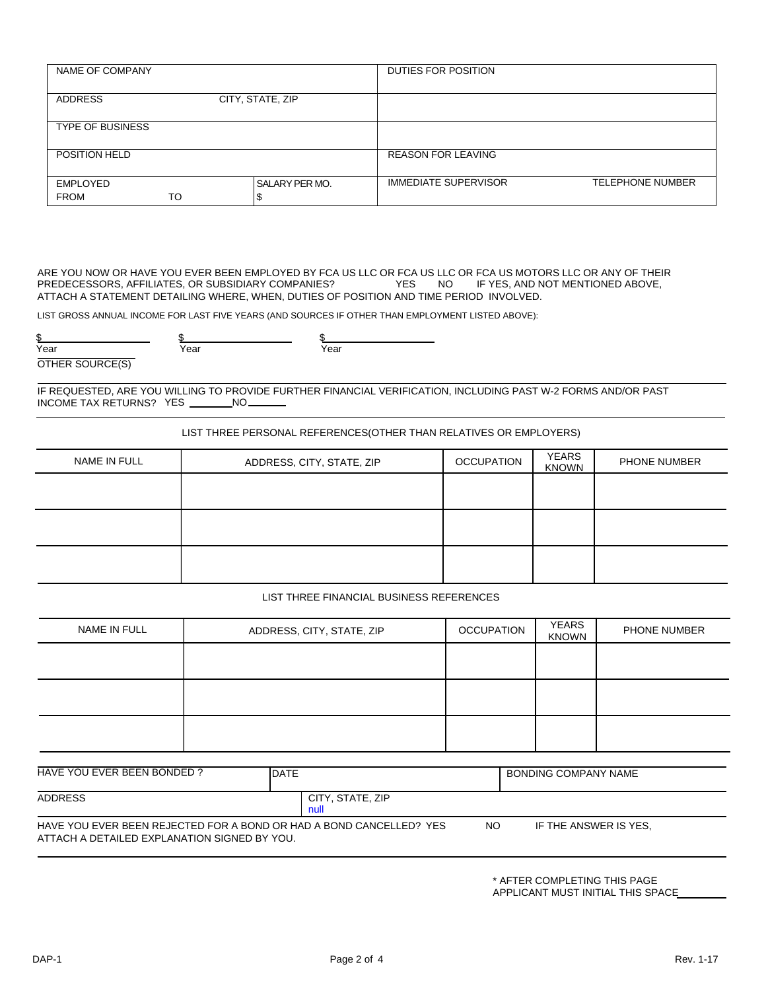| NAME OF COMPANY         |    |                             | DUTIES FOR POSITION         |                         |
|-------------------------|----|-----------------------------|-----------------------------|-------------------------|
| <b>ADDRESS</b>          |    | CITY, STATE, ZIP            |                             |                         |
| <b>TYPE OF BUSINESS</b> |    |                             |                             |                         |
| POSITION HELD           |    |                             | <b>REASON FOR LEAVING</b>   |                         |
| EMPLOYED<br><b>FROM</b> | то | <b>SALARY PER MO.</b><br>۰D | <b>IMMEDIATE SUPERVISOR</b> | <b>TELEPHONE NUMBER</b> |

ARE YOU NOW OR HAVE YOU EVER BEEN EMPLOYED BY FCA US LLC OR FCA US LLC OR FCA US MOTORS LLC OR ANY OF THEIR<br>PREDECESSORS, AFFILIATES, OR SUBSIDIARY COMPANIES? YES NO IF YES, AND NOT MENTIONED ABOVE, PREDECESSORS, AFFILIATES, OR SUBSIDIARY COMPANIES? ATTACH A STATEMENT DETAILING WHERE, WHEN, DUTIES OF POSITION AND TIME PERIOD INVOLVED.

LIST GROSS ANNUAL INCOME FOR LAST FIVE YEARS (AND SOURCES IF OTHER THAN EMPLOYMENT LISTED ABOVE):

| Year                              | Year | Year |  |
|-----------------------------------|------|------|--|
| $\sim$ $\sim$ $\sim$<br>$\sim$ TI |      |      |  |

IF REQUESTED, ARE YOU WILLING TO PROVIDE FURTHER FINANCIAL VERIFICATION, INCLUDING PAST W-2 FORMS AND/OR PAST INCOME TAX RETURNS? YES

LIST THREE PERSONAL REFERENCES(OTHER THAN RELATIVES OR EMPLOYERS)

| NAME IN FULL | ADDRESS, CITY, STATE, ZIP | <b>OCCUPATION</b> | <b>YEARS</b><br><b>KNOWN</b> | PHONE NUMBER |
|--------------|---------------------------|-------------------|------------------------------|--------------|
|              |                           |                   |                              |              |
|              |                           |                   |                              |              |
|              |                           |                   |                              |              |
|              |                           |                   |                              |              |
|              |                           |                   |                              |              |

LIST THREE FINANCIAL BUSINESS REFERENCES

| NAME IN FULL | ADDRESS, CITY, STATE, ZIP | <b>OCCUPATION</b> | <b>YEARS</b><br><b>KNOWN</b> | PHONE NUMBER |
|--------------|---------------------------|-------------------|------------------------------|--------------|
|              |                           |                   |                              |              |
|              |                           |                   |                              |              |
|              |                           |                   |                              |              |
|              |                           |                   |                              |              |
|              |                           |                   |                              |              |

| HAVE YOU EVER BEEN BONDED?                                                                                          | <b>IDATE</b>             | BONDING COMPANY NAME  |  |
|---------------------------------------------------------------------------------------------------------------------|--------------------------|-----------------------|--|
| <b>ADDRESS</b>                                                                                                      | CITY, STATE, ZIP<br>null |                       |  |
| HAVE YOU EVER BEEN REJECTED FOR A BOND OR HAD A BOND CANCELLED? YES<br>ATTACH A DETAILED EXPLANATION SIGNED BY YOU. | NO.                      | IF THE ANSWER IS YES. |  |

\* AFTER COMPLETING THIS PAGE APPLICANT MUST INITIAL THIS SPACE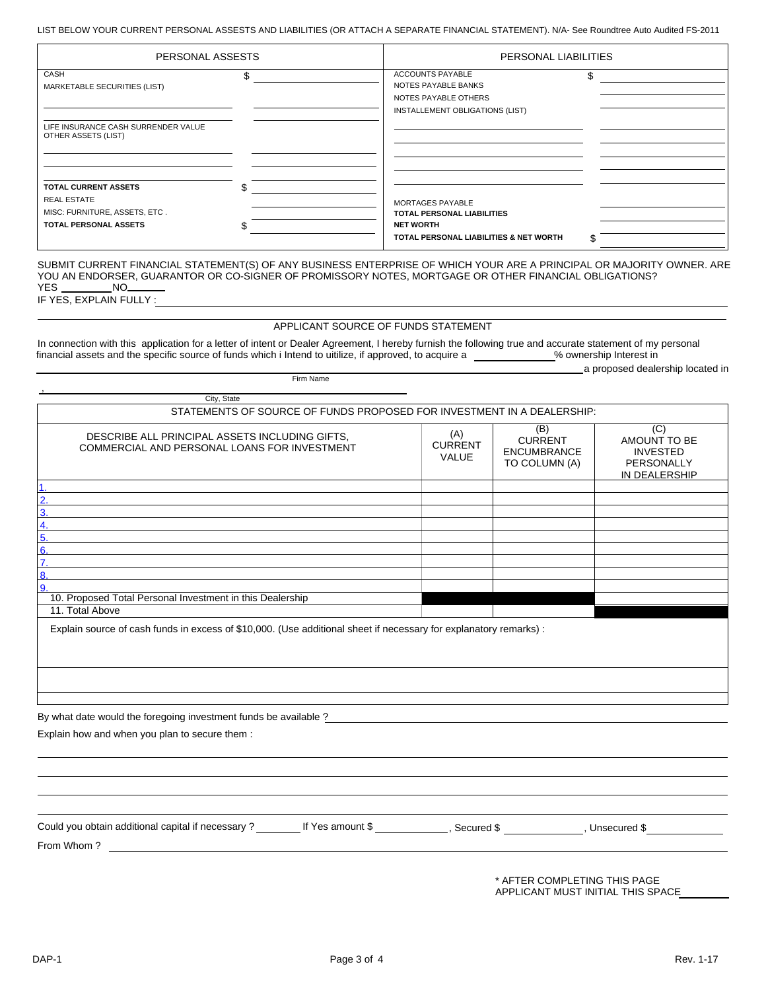LIST BELOW YOUR CURRENT PERSONAL ASSESTS AND LIABILITIES (OR ATTACH A SEPARATE FINANCIAL STATEMENT). N/A- See Roundtree Auto Audited FS-2011

| PERSONAL ASSESTS                                                                                                   |    | PERSONAL LIABILITIES                                                                                                |     |
|--------------------------------------------------------------------------------------------------------------------|----|---------------------------------------------------------------------------------------------------------------------|-----|
| CASH<br>MARKETABLE SECURITIES (LIST)                                                                               | \$ | <b>ACCOUNTS PAYABLE</b><br>NOTES PAYABLE BANKS<br>NOTES PAYABLE OTHERS<br>INSTALLEMENT OBLIGATIONS (LIST)           | \$. |
| LIFE INSURANCE CASH SURRENDER VALUE<br>OTHER ASSETS (LIST)                                                         |    |                                                                                                                     |     |
| <b>TOTAL CURRENT ASSETS</b><br><b>REAL ESTATE</b><br>MISC: FURNITURE, ASSETS, ETC.<br><b>TOTAL PERSONAL ASSETS</b> | л. | MORTAGES PAYABLE<br><b>TOTAL PERSONAL LIABILITIES</b><br><b>NET WORTH</b><br>TOTAL PERSONAL LIABILITIES & NET WORTH |     |

SUBMIT CURRENT FINANCIAL STATEMENT(S) OF ANY BUSINESS ENTERPRISE OF WHICH YOUR ARE A PRINCIPAL OR MAJORITY OWNER. ARE YOU AN ENDORSER, GUARANTOR OR CO-SIGNER OF PROMISSORY NOTES, MORTGAGE OR OTHER FINANCIAL OBLIGATIONS? **YES** NO\_

IF YES, EXPLAIN FULLY:

#### APPLICANT SOURCE OF FUNDS STATEMENT

In connection with this application for a letter of intent or Dealer Agreement, I hereby furnish the following true and accurate statement of my personal financial assets and the specific source of funds which i Intend to uitilize, if approved, to acquire a % ownership Interest in

Firm Name

|  | a proposed dealership located in |  |
|--|----------------------------------|--|

| City, State                                                                                                                        |                                       |                                                              |                                                                       |
|------------------------------------------------------------------------------------------------------------------------------------|---------------------------------------|--------------------------------------------------------------|-----------------------------------------------------------------------|
| STATEMENTS OF SOURCE OF FUNDS PROPOSED FOR INVESTMENT IN A DEALERSHIP:                                                             |                                       |                                                              |                                                                       |
| DESCRIBE ALL PRINCIPAL ASSETS INCLUDING GIFTS,<br>COMMERCIAL AND PERSONAL LOANS FOR INVESTMENT                                     | (A)<br><b>CURRENT</b><br><b>VALUE</b> | (B)<br><b>CURRENT</b><br><b>ENCUMBRANCE</b><br>TO COLUMN (A) | (C)<br>AMOUNT TO BE<br><b>INVESTED</b><br>PERSONALLY<br>IN DEALERSHIP |
|                                                                                                                                    |                                       |                                                              |                                                                       |
| 3.                                                                                                                                 |                                       |                                                              |                                                                       |
|                                                                                                                                    |                                       |                                                              |                                                                       |
|                                                                                                                                    |                                       |                                                              |                                                                       |
| 6.                                                                                                                                 |                                       |                                                              |                                                                       |
|                                                                                                                                    |                                       |                                                              |                                                                       |
| 8.<br>9.                                                                                                                           |                                       |                                                              |                                                                       |
| 10. Proposed Total Personal Investment in this Dealership                                                                          |                                       |                                                              |                                                                       |
| 11. Total Above                                                                                                                    |                                       |                                                              |                                                                       |
| Explain source of cash funds in excess of \$10,000. (Use additional sheet if necessary for explanatory remarks) :                  |                                       |                                                              |                                                                       |
|                                                                                                                                    |                                       |                                                              |                                                                       |
| By what date would the foregoing investment funds be available ?                                                                   |                                       |                                                              |                                                                       |
| Explain how and when you plan to secure them :                                                                                     |                                       |                                                              |                                                                       |
|                                                                                                                                    |                                       |                                                              |                                                                       |
|                                                                                                                                    |                                       |                                                              |                                                                       |
|                                                                                                                                    |                                       |                                                              |                                                                       |
| Could you obtain additional capital if necessary ? _________ If Yes amount \$ _____________, Secured \$ ____________, Unsecured \$ |                                       |                                                              |                                                                       |
| From Whom?<br><u> 1980 - John Stone, Amerikaansk politiker (</u>                                                                   |                                       |                                                              |                                                                       |
|                                                                                                                                    |                                       |                                                              |                                                                       |

\* AFTER COMPLETING THIS PAGE APPLICANT MUST INITIAL THIS SPACE